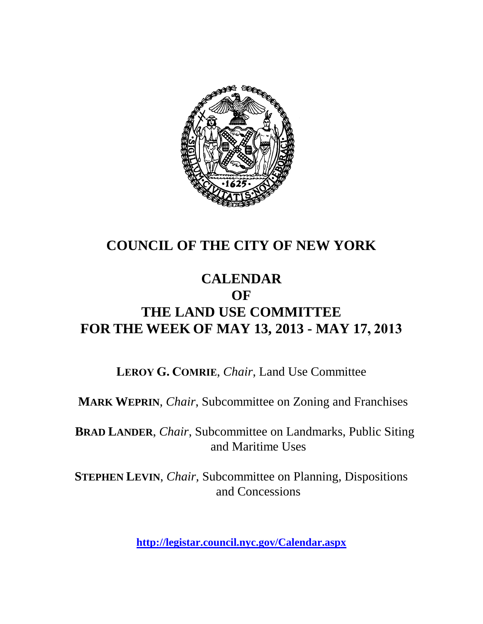

# **COUNCIL OF THE CITY OF NEW YORK**

# **CALENDAR OF THE LAND USE COMMITTEE FOR THE WEEK OF MAY 13, 2013 - MAY 17, 2013**

**LEROY G. COMRIE**, *Chair*, Land Use Committee

**MARK WEPRIN**, *Chair*, Subcommittee on Zoning and Franchises

**BRAD LANDER**, *Chair*, Subcommittee on Landmarks, Public Siting and Maritime Uses

**STEPHEN LEVIN**, *Chair,* Subcommittee on Planning, Dispositions and Concessions

**<http://legistar.council.nyc.gov/Calendar.aspx>**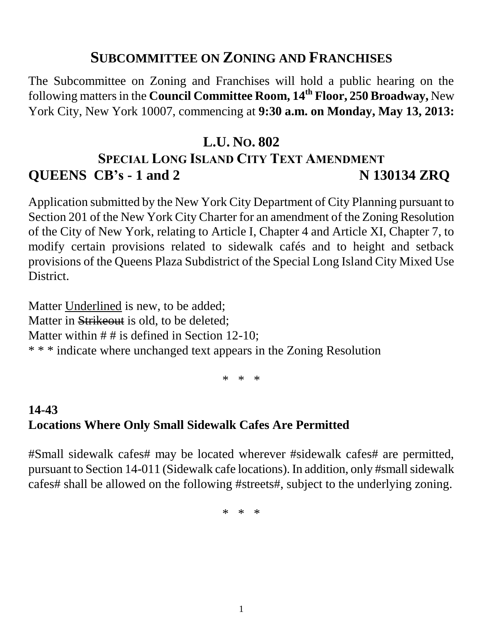#### **SUBCOMMITTEE ON ZONING AND FRANCHISES**

The Subcommittee on Zoning and Franchises will hold a public hearing on the following matters in the **Council Committee Room, 14 th Floor, 250 Broadway,** New York City, New York 10007, commencing at **9:30 a.m. on Monday, May 13, 2013:**

# **L.U. NO. 802 SPECIAL LONG ISLAND CITY TEXT AMENDMENT QUEENS CB's - 1 and 2 N 130134 ZRQ**

Application submitted by the New York City Department of City Planning pursuant to Section 201 of the New York City Charter for an amendment of the Zoning Resolution of the City of New York, relating to Article I, Chapter 4 and Article XI, Chapter 7, to modify certain provisions related to sidewalk cafés and to height and setback provisions of the Queens Plaza Subdistrict of the Special Long Island City Mixed Use District.

Matter Underlined is new, to be added; Matter in Strikeout is old, to be deleted; Matter within  $# #$  is defined in Section 12-10; \* \* \* indicate where unchanged text appears in the Zoning Resolution

\* \* \*

### **14-43 Locations Where Only Small Sidewalk Cafes Are Permitted**

#Small sidewalk cafes# may be located wherever #sidewalk cafes# are permitted, pursuant to Section 14-011 (Sidewalk cafe locations). In addition, only #small sidewalk cafes# shall be allowed on the following #streets#, subject to the underlying zoning.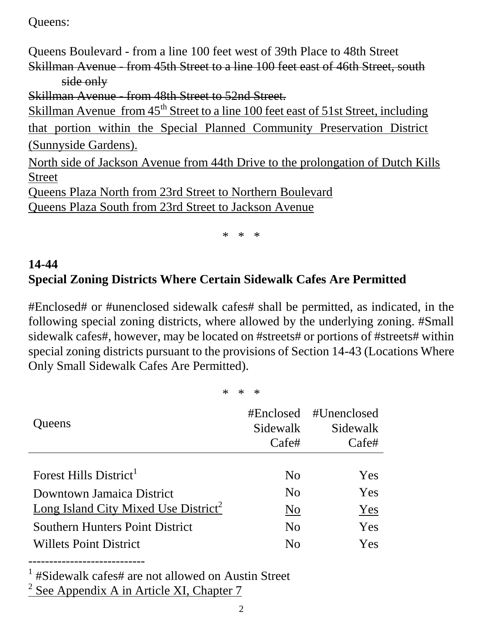Queens:

Queens Boulevard - from a line 100 feet west of 39th Place to 48th Street Skillman Avenue - from 45th Street to a line 100 feet east of 46th Street, south side only Skillman Avenue from 48th Street to 52nd Street. Skillman Avenue from 45<sup>th</sup> Street to a line 100 feet east of 51st Street, including that portion within the Special Planned Community Preservation District (Sunnyside Gardens). North side of Jackson Avenue from 44th Drive to the prolongation of Dutch Kills Street Queens Plaza North from 23rd Street to Northern Boulevard Queens Plaza South from 23rd Street to Jackson Avenue

\* \* \*

### **14-44 Special Zoning Districts Where Certain Sidewalk Cafes Are Permitted**

#Enclosed# or #unenclosed sidewalk cafes# shall be permitted, as indicated, in the following special zoning districts, where allowed by the underlying zoning. #Small sidewalk cafes#, however, may be located on #streets# or portions of #streets# within special zoning districts pursuant to the provisions of Section 14-43 (Locations Where Only Small Sidewalk Cafes Are Permitted).

\* \* \*

| Queens                                           | #Enclosed<br>Sidewalk<br>Cafe# | #Unenclosed<br>Sidewalk<br>Cafe# |
|--------------------------------------------------|--------------------------------|----------------------------------|
|                                                  |                                |                                  |
| Forest Hills District <sup>1</sup>               | N <sub>0</sub>                 | Yes                              |
| Downtown Jamaica District                        | N <sub>0</sub>                 | Yes                              |
| Long Island City Mixed Use District <sup>2</sup> | No                             | Yes                              |
| <b>Southern Hunters Point District</b>           | N <sub>0</sub>                 | Yes                              |
| <b>Willets Point District</b>                    | $\rm No$                       | Yes                              |

----------------------------

<sup>1</sup> #Sidewalk cafes# are not allowed on Austin Street

 $2$  See Appendix A in Article XI, Chapter 7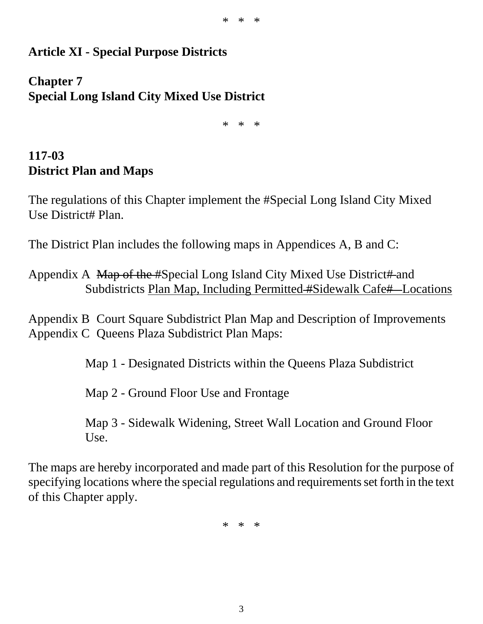#### **Article XI - Special Purpose Districts**

#### **Chapter 7 Special Long Island City Mixed Use District**

\* \* \*

#### **117-03 District Plan and Maps**

The regulations of this Chapter implement the #Special Long Island City Mixed Use District# Plan.

The District Plan includes the following maps in Appendices A, B and C:

Appendix A Map of the #Special Long Island City Mixed Use District# and Subdistricts Plan Map, Including Permitted #Sidewalk Cafe# Locations

Appendix B Court Square Subdistrict Plan Map and Description of Improvements Appendix C Queens Plaza Subdistrict Plan Maps:

Map 1 - Designated Districts within the Queens Plaza Subdistrict

Map 2 - Ground Floor Use and Frontage

Map 3 - Sidewalk Widening, Street Wall Location and Ground Floor Use.

The maps are hereby incorporated and made part of this Resolution for the purpose of specifying locations where the special regulations and requirements set forth in the text of this Chapter apply.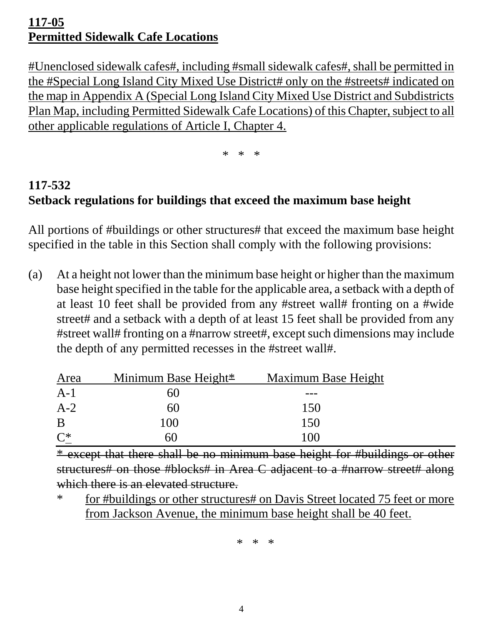### **117-05 Permitted Sidewalk Cafe Locations**

#Unenclosed sidewalk cafes#, including #small sidewalk cafes#, shall be permitted in the #Special Long Island City Mixed Use District# only on the #streets# indicated on the map in Appendix A (Special Long Island City Mixed Use District and Subdistricts Plan Map, including Permitted Sidewalk Cafe Locations) of this Chapter, subject to all other applicable regulations of Article I, Chapter 4.

\* \* \*

# **117-532 Setback regulations for buildings that exceed the maximum base height**

All portions of #buildings or other structures# that exceed the maximum base height specified in the table in this Section shall comply with the following provisions:

(a) At a height not lower than the minimum base height or higher than the maximum base height specified in the table for the applicable area, a setback with a depth of at least 10 feet shall be provided from any #street wall# fronting on a #wide street# and a setback with a depth of at least 15 feet shall be provided from any #street wall# fronting on a #narrow street#, except such dimensions may include the depth of any permitted recesses in the #street wall#.

| Area  | Minimum Base Height <sup>*</sup> | <b>Maximum Base Height</b> |
|-------|----------------------------------|----------------------------|
| $A-1$ | 60                               |                            |
| $A-2$ | 60                               | 150                        |
| B     | 100                              | 150                        |
| $C^*$ | hU                               | 100                        |

\* except that there shall be no minimum base height for #buildings or other structures# on those #blocks# in Area C adjacent to a #narrow street# along which there is an elevated structure.

\* for #buildings or other structures# on Davis Street located 75 feet or more from Jackson Avenue, the minimum base height shall be 40 feet.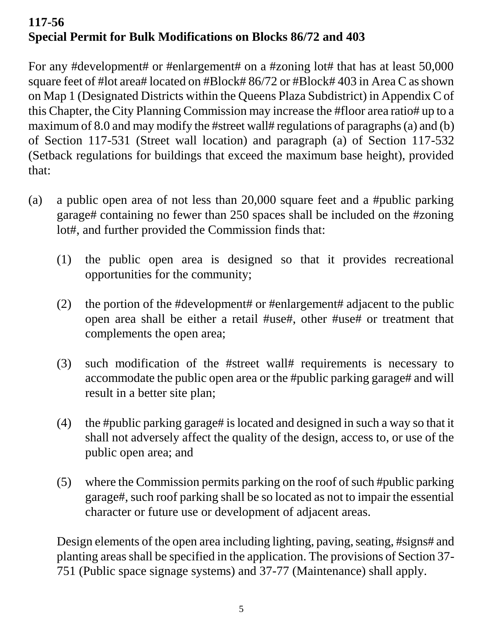# **117-56 Special Permit for Bulk Modifications on Blocks 86/72 and 403**

For any #development# or #enlargement# on a #zoning lot# that has at least 50,000 square feet of #lot area# located on #Block# 86/72 or #Block# 403 in Area C as shown on Map 1 (Designated Districts within the Queens Plaza Subdistrict) in Appendix C of this Chapter, the City Planning Commission may increase the #floor area ratio# up to a maximum of 8.0 and may modify the #street wall# regulations of paragraphs (a) and (b) of Section 117-531 (Street wall location) and paragraph (a) of Section 117-532 (Setback regulations for buildings that exceed the maximum base height), provided that:

- (a) a public open area of not less than 20,000 square feet and a #public parking garage# containing no fewer than 250 spaces shall be included on the #zoning lot#, and further provided the Commission finds that:
	- (1) the public open area is designed so that it provides recreational opportunities for the community;
	- (2) the portion of the #development# or #enlargement# adjacent to the public open area shall be either a retail #use#, other #use# or treatment that complements the open area;
	- (3) such modification of the #street wall# requirements is necessary to accommodate the public open area or the #public parking garage# and will result in a better site plan;
	- (4) the #public parking garage# is located and designed in such a way so that it shall not adversely affect the quality of the design, access to, or use of the public open area; and
	- (5) where the Commission permits parking on the roof of such #public parking garage#, such roof parking shall be so located as not to impair the essential character or future use or development of adjacent areas.

Design elements of the open area including lighting, paving, seating, #signs# and planting areas shall be specified in the application. The provisions of Section 37- 751 (Public space signage systems) and 37-77 (Maintenance) shall apply.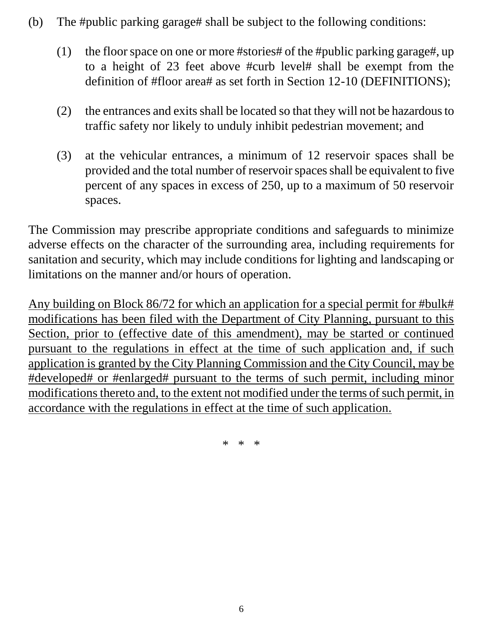- (b) The #public parking garage# shall be subject to the following conditions:
	- (1) the floor space on one or more #stories# of the #public parking garage#, up to a height of 23 feet above #curb level# shall be exempt from the definition of #floor area# as set forth in Section 12-10 (DEFINITIONS);
	- (2) the entrances and exits shall be located so that they will not be hazardous to traffic safety nor likely to unduly inhibit pedestrian movement; and
	- (3) at the vehicular entrances, a minimum of 12 reservoir spaces shall be provided and the total number of reservoir spaces shall be equivalent to five percent of any spaces in excess of 250, up to a maximum of 50 reservoir spaces.

The Commission may prescribe appropriate conditions and safeguards to minimize adverse effects on the character of the surrounding area, including requirements for sanitation and security, which may include conditions for lighting and landscaping or limitations on the manner and/or hours of operation.

Any building on Block 86/72 for which an application for a special permit for #bulk# modifications has been filed with the Department of City Planning, pursuant to this Section, prior to (effective date of this amendment), may be started or continued pursuant to the regulations in effect at the time of such application and, if such application is granted by the City Planning Commission and the City Council, may be #developed# or #enlarged# pursuant to the terms of such permit, including minor modifications thereto and, to the extent not modified under the terms of such permit, in accordance with the regulations in effect at the time of such application.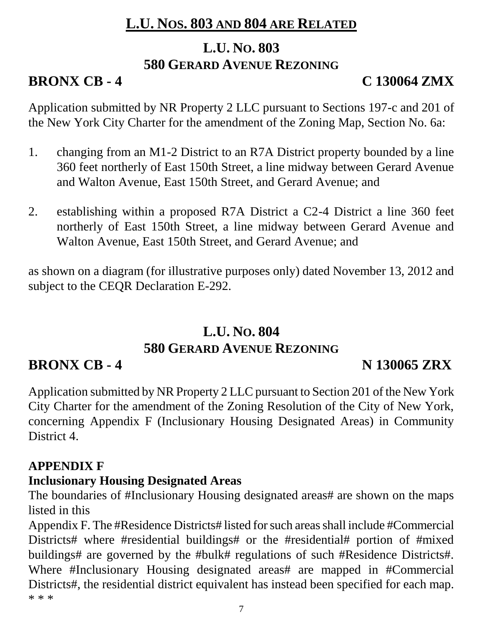# **L.U. NOS. 803 AND 804 ARE RELATED**

# **L.U. NO. 803 580 GERARD AVENUE REZONING**

# **BRONX CB - 4 C 130064 ZMX**

Application submitted by NR Property 2 LLC pursuant to Sections 197-c and 201 of the New York City Charter for the amendment of the Zoning Map, Section No. 6a:

- 1. changing from an M1-2 District to an R7A District property bounded by a line 360 feet northerly of East 150th Street, a line midway between Gerard Avenue and Walton Avenue, East 150th Street, and Gerard Avenue; and
- 2. establishing within a proposed R7A District a C2-4 District a line 360 feet northerly of East 150th Street, a line midway between Gerard Avenue and Walton Avenue, East 150th Street, and Gerard Avenue; and

as shown on a diagram (for illustrative purposes only) dated November 13, 2012 and subject to the CEQR Declaration E-292.

# **L.U. NO. 804 580 GERARD AVENUE REZONING**

# **BRONX CB - 4 N 130065 ZRX**

Application submitted by NR Property 2 LLC pursuant to Section 201 of the New York City Charter for the amendment of the Zoning Resolution of the City of New York, concerning Appendix F (Inclusionary Housing Designated Areas) in Community District 4.

### **APPENDIX F**

### **Inclusionary Housing Designated Areas**

The boundaries of #Inclusionary Housing designated areas# are shown on the maps listed in this

Appendix F. The #Residence Districts# listed for such areas shall include #Commercial Districts# where #residential buildings# or the #residential# portion of #mixed buildings# are governed by the #bulk# regulations of such #Residence Districts#. Where #Inclusionary Housing designated areas# are mapped in #Commercial Districts#, the residential district equivalent has instead been specified for each map. \* \* \*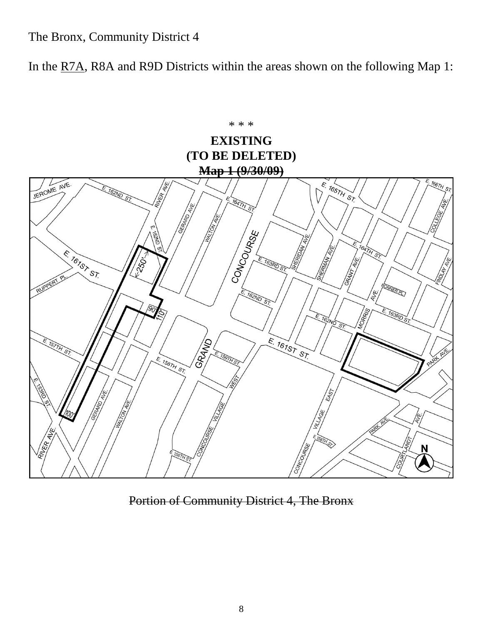The Bronx, Community District 4

In the R7A, R8A and R9D Districts within the areas shown on the following Map 1:



Portion of Community District 4, The Bronx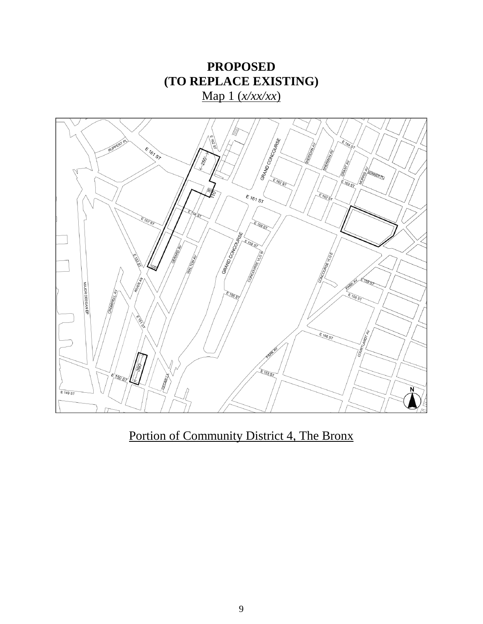

Portion of Community District 4, The Bronx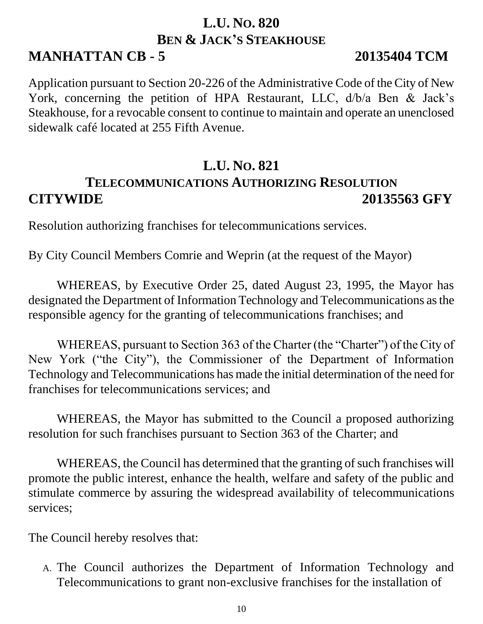### **L.U. NO. 820 BEN & JACK'S STEAKHOUSE MANHATTAN CB - 5 20135404 TCM**

Application pursuant to Section 20-226 of the Administrative Code of the City of New York, concerning the petition of HPA Restaurant, LLC, d/b/a Ben & Jack's Steakhouse, for a revocable consent to continue to maintain and operate an unenclosed sidewalk café located at 255 Fifth Avenue.

### **L.U. NO. 821**

# **TELECOMMUNICATIONS AUTHORIZING RESOLUTION CITYWIDE 20135563 GFY**

Resolution authorizing franchises for telecommunications services.

By City Council Members Comrie and Weprin (at the request of the Mayor)

WHEREAS, by Executive Order 25, dated August 23, 1995, the Mayor has designated the Department of Information Technology and Telecommunications as the responsible agency for the granting of telecommunications franchises; and

WHEREAS, pursuant to Section 363 of the Charter (the "Charter") of the City of New York ("the City"), the Commissioner of the Department of Information Technology and Telecommunications has made the initial determination of the need for franchises for telecommunications services; and

WHEREAS, the Mayor has submitted to the Council a proposed authorizing resolution for such franchises pursuant to Section 363 of the Charter; and

WHEREAS, the Council has determined that the granting of such franchises will promote the public interest, enhance the health, welfare and safety of the public and stimulate commerce by assuring the widespread availability of telecommunications services;

The Council hereby resolves that:

A. The Council authorizes the Department of Information Technology and Telecommunications to grant non-exclusive franchises for the installation of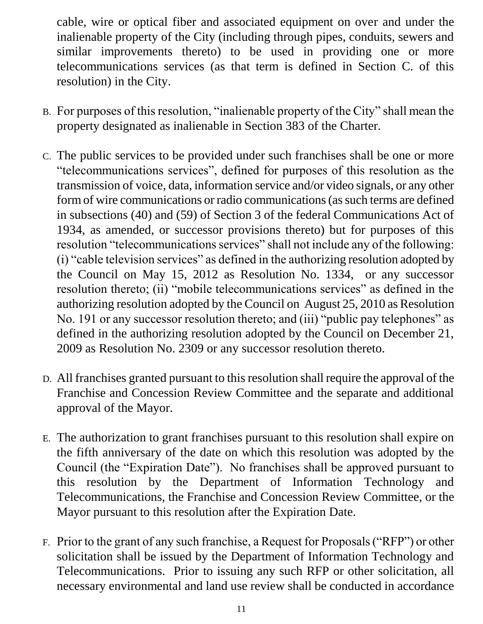cable, wire or optical fiber and associated equipment on over and under the inalienable property of the City (including through pipes, conduits, sewers and similar improvements thereto) to be used in providing one or more telecommunications services (as that term is defined in Section C. of this resolution) in the City.

- B. For purposes of this resolution, "inalienable property of the City" shall mean the property designated as inalienable in Section 383 of the Charter.
- C. The public services to be provided under such franchises shall be one or more "telecommunications services", defined for purposes of this resolution as the transmission of voice, data, information service and/or video signals, or any other form of wire communications or radio communications (as such terms are defined in subsections (40) and (59) of Section 3 of the federal Communications Act of 1934, as amended, or successor provisions thereto) but for purposes of this resolution "telecommunications services" shall not include any of the following: (i) "cable television services" as defined in the authorizing resolution adopted by the Council on May 15, 2012 as Resolution No. 1334, or any successor resolution thereto; (ii) "mobile telecommunications services" as defined in the authorizing resolution adopted by the Council on August 25, 2010 as Resolution No. 191 or any successor resolution thereto; and (iii) "public pay telephones" as defined in the authorizing resolution adopted by the Council on December 21, 2009 as Resolution No. 2309 or any successor resolution thereto.
- D. All franchises granted pursuant to this resolution shall require the approval of the Franchise and Concession Review Committee and the separate and additional approval of the Mayor.
- E. The authorization to grant franchises pursuant to this resolution shall expire on the fifth anniversary of the date on which this resolution was adopted by the Council (the "Expiration Date"). No franchises shall be approved pursuant to this resolution by the Department of Information Technology and Telecommunications, the Franchise and Concession Review Committee, or the Mayor pursuant to this resolution after the Expiration Date.
- F. Prior to the grant of any such franchise, a Request for Proposals ("RFP") or other solicitation shall be issued by the Department of Information Technology and Telecommunications. Prior to issuing any such RFP or other solicitation, all necessary environmental and land use review shall be conducted in accordance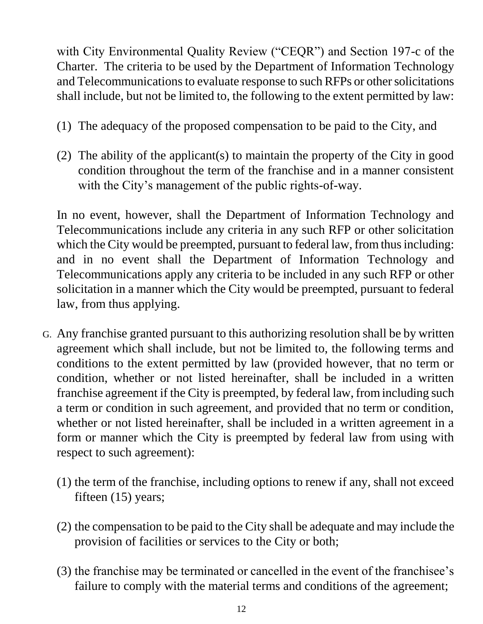with City Environmental Quality Review ("CEQR") and Section 197-c of the Charter. The criteria to be used by the Department of Information Technology and Telecommunications to evaluate response to such RFPs or other solicitations shall include, but not be limited to, the following to the extent permitted by law:

- (1) The adequacy of the proposed compensation to be paid to the City, and
- (2) The ability of the applicant(s) to maintain the property of the City in good condition throughout the term of the franchise and in a manner consistent with the City's management of the public rights-of-way.

In no event, however, shall the Department of Information Technology and Telecommunications include any criteria in any such RFP or other solicitation which the City would be preempted, pursuant to federal law, from thus including: and in no event shall the Department of Information Technology and Telecommunications apply any criteria to be included in any such RFP or other solicitation in a manner which the City would be preempted, pursuant to federal law, from thus applying.

- G. Any franchise granted pursuant to this authorizing resolution shall be by written agreement which shall include, but not be limited to, the following terms and conditions to the extent permitted by law (provided however, that no term or condition, whether or not listed hereinafter, shall be included in a written franchise agreement if the City is preempted, by federal law, from including such a term or condition in such agreement, and provided that no term or condition, whether or not listed hereinafter, shall be included in a written agreement in a form or manner which the City is preempted by federal law from using with respect to such agreement):
	- (1) the term of the franchise, including options to renew if any, shall not exceed fifteen (15) years;
	- (2) the compensation to be paid to the City shall be adequate and may include the provision of facilities or services to the City or both;
	- (3) the franchise may be terminated or cancelled in the event of the franchisee's failure to comply with the material terms and conditions of the agreement;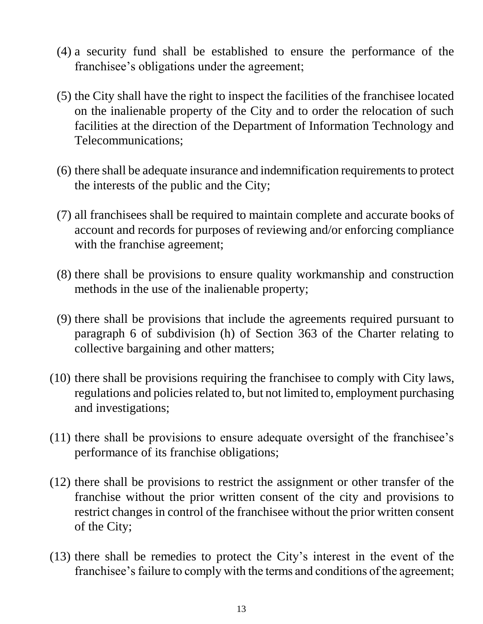- (4) a security fund shall be established to ensure the performance of the franchisee's obligations under the agreement;
- (5) the City shall have the right to inspect the facilities of the franchisee located on the inalienable property of the City and to order the relocation of such facilities at the direction of the Department of Information Technology and Telecommunications;
- (6) there shall be adequate insurance and indemnification requirements to protect the interests of the public and the City;
- (7) all franchisees shall be required to maintain complete and accurate books of account and records for purposes of reviewing and/or enforcing compliance with the franchise agreement;
- (8) there shall be provisions to ensure quality workmanship and construction methods in the use of the inalienable property;
- (9) there shall be provisions that include the agreements required pursuant to paragraph 6 of subdivision (h) of Section 363 of the Charter relating to collective bargaining and other matters;
- (10) there shall be provisions requiring the franchisee to comply with City laws, regulations and policies related to, but not limited to, employment purchasing and investigations;
- (11) there shall be provisions to ensure adequate oversight of the franchisee's performance of its franchise obligations;
- (12) there shall be provisions to restrict the assignment or other transfer of the franchise without the prior written consent of the city and provisions to restrict changes in control of the franchisee without the prior written consent of the City;
- (13) there shall be remedies to protect the City's interest in the event of the franchisee's failure to comply with the terms and conditions of the agreement;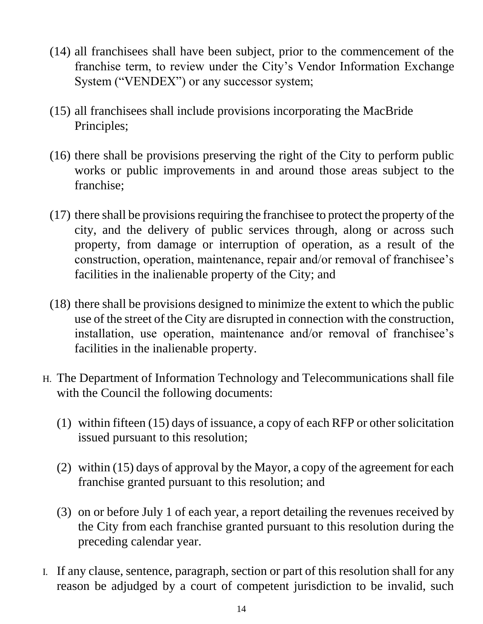- (14) all franchisees shall have been subject, prior to the commencement of the franchise term, to review under the City's Vendor Information Exchange System ("VENDEX") or any successor system;
- (15) all franchisees shall include provisions incorporating the MacBride Principles;
- (16) there shall be provisions preserving the right of the City to perform public works or public improvements in and around those areas subject to the franchise;
- (17) there shall be provisions requiring the franchisee to protect the property of the city, and the delivery of public services through, along or across such property, from damage or interruption of operation, as a result of the construction, operation, maintenance, repair and/or removal of franchisee's facilities in the inalienable property of the City; and
- (18) there shall be provisions designed to minimize the extent to which the public use of the street of the City are disrupted in connection with the construction, installation, use operation, maintenance and/or removal of franchisee's facilities in the inalienable property.
- H. The Department of Information Technology and Telecommunications shall file with the Council the following documents:
	- (1) within fifteen (15) days of issuance, a copy of each RFP or other solicitation issued pursuant to this resolution;
	- (2) within (15) days of approval by the Mayor, a copy of the agreement for each franchise granted pursuant to this resolution; and
	- (3) on or before July 1 of each year, a report detailing the revenues received by the City from each franchise granted pursuant to this resolution during the preceding calendar year.
- I. If any clause, sentence, paragraph, section or part of this resolution shall for any reason be adjudged by a court of competent jurisdiction to be invalid, such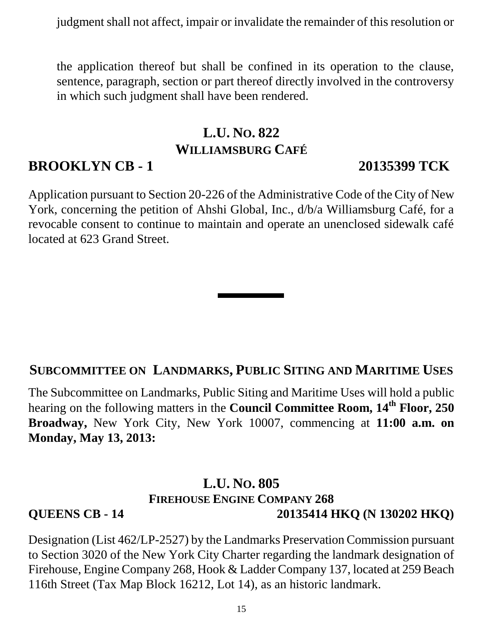judgment shall not affect, impair or invalidate the remainder of this resolution or

the application thereof but shall be confined in its operation to the clause, sentence, paragraph, section or part thereof directly involved in the controversy in which such judgment shall have been rendered.

# **L.U. NO. 822 WILLIAMSBURG CAFÉ**

### **BROOKLYN CB - 1 20135399 TCK**

Application pursuant to Section 20-226 of the Administrative Code of the City of New York, concerning the petition of Ahshi Global, Inc., d/b/a Williamsburg Café, for a revocable consent to continue to maintain and operate an unenclosed sidewalk café located at 623 Grand Street.

#### **SUBCOMMITTEE ON LANDMARKS, PUBLIC SITING AND MARITIME USES**

The Subcommittee on Landmarks, Public Siting and Maritime Uses will hold a public hearing on the following matters in the **Council Committee Room, 14 th Floor, 250 Broadway,** New York City, New York 10007, commencing at **11:00 a.m. on Monday, May 13, 2013:**

#### **L.U. NO. 805 FIREHOUSE ENGINE COMPANY 268 QUEENS CB - 14 20135414 HKQ (N 130202 HKQ)**

Designation (List 462/LP-2527) by the Landmarks Preservation Commission pursuant to Section 3020 of the New York City Charter regarding the landmark designation of Firehouse, Engine Company 268, Hook & Ladder Company 137, located at 259 Beach 116th Street (Tax Map Block 16212, Lot 14), as an historic landmark.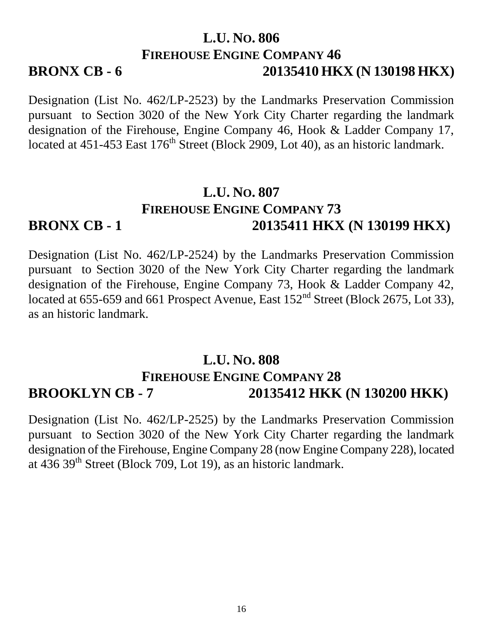### **L.U. NO. 806 FIREHOUSE ENGINE COMPANY 46 BRONX CB - 6 20135410 HKX (N 130198 HKX)**

Designation (List No. 462/LP-2523) by the Landmarks Preservation Commission pursuant to Section 3020 of the New York City Charter regarding the landmark designation of the Firehouse, Engine Company 46, Hook & Ladder Company 17, located at  $451-453$  East  $176<sup>th</sup>$  Street (Block 2909, Lot 40), as an historic landmark.

### **L.U. NO. 807 FIREHOUSE ENGINE COMPANY 73 BRONX CB - 1 20135411 HKX (N 130199 HKX)**

Designation (List No. 462/LP-2524) by the Landmarks Preservation Commission pursuant to Section 3020 of the New York City Charter regarding the landmark designation of the Firehouse, Engine Company 73, Hook & Ladder Company 42, located at 655-659 and 661 Prospect Avenue, East 152<sup>nd</sup> Street (Block 2675, Lot 33), as an historic landmark.

### **L.U. NO. 808 FIREHOUSE ENGINE COMPANY 28 BROOKLYN CB - 7 20135412 HKK (N 130200 HKK)**

Designation (List No. 462/LP-2525) by the Landmarks Preservation Commission pursuant to Section 3020 of the New York City Charter regarding the landmark designation of the Firehouse, Engine Company 28 (now Engine Company 228), located at 436 39<sup>th</sup> Street (Block 709, Lot 19), as an historic landmark.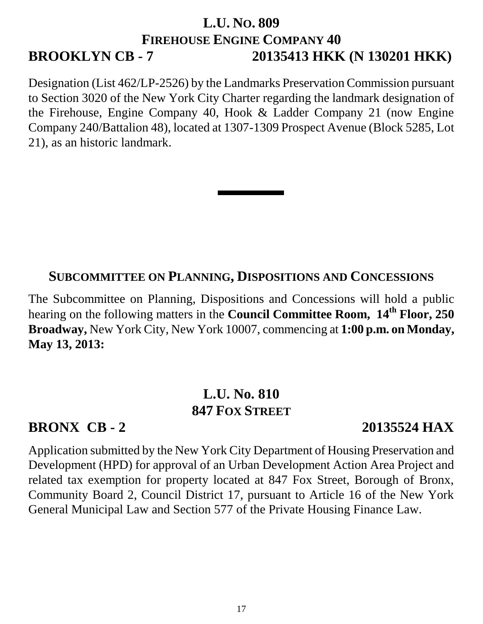### **L.U. NO. 809 FIREHOUSE ENGINE COMPANY 40 BROOKLYN CB - 7 20135413 HKK (N 130201 HKK)**

Designation (List 462/LP-2526) by the Landmarks Preservation Commission pursuant to Section 3020 of the New York City Charter regarding the landmark designation of the Firehouse, Engine Company 40, Hook & Ladder Company 21 (now Engine Company 240/Battalion 48), located at 1307-1309 Prospect Avenue (Block 5285, Lot 21), as an historic landmark.

#### **SUBCOMMITTEE ON PLANNING, DISPOSITIONS AND CONCESSIONS**

The Subcommittee on Planning, Dispositions and Concessions will hold a public hearing on the following matters in the **Council Committee Room, 14 th Floor, 250 Broadway,** New York City, New York 10007, commencing at **1:00 p.m. on Monday, May 13, 2013:**

### **L.U. No. 810 847 FOX STREET**

### **BRONX CB - 2 20135524 HAX**

Application submitted by the New York City Department of Housing Preservation and Development (HPD) for approval of an Urban Development Action Area Project and related tax exemption for property located at 847 Fox Street, Borough of Bronx, Community Board 2, Council District 17, pursuant to Article 16 of the New York General Municipal Law and Section 577 of the Private Housing Finance Law.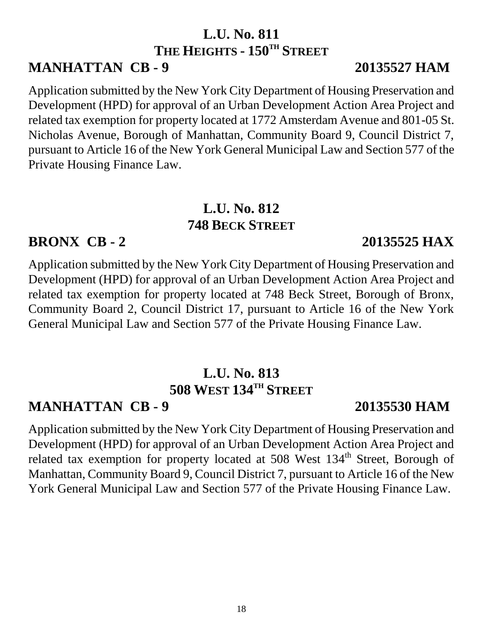# **L.U. No. 811 THE HEIGHTS - 150TH STREET**

### **MANHATTAN CB - 9 20135527 HAM**

Application submitted by the New York City Department of Housing Preservation and Development (HPD) for approval of an Urban Development Action Area Project and related tax exemption for property located at 1772 Amsterdam Avenue and 801-05 St. Nicholas Avenue, Borough of Manhattan, Community Board 9, Council District 7, pursuant to Article 16 of the New York General Municipal Law and Section 577 of the Private Housing Finance Law.

### **L.U. No. 812 748 BECK STREET**

### **BRONX CB - 2 20135525 HAX**

Application submitted by the New York City Department of Housing Preservation and Development (HPD) for approval of an Urban Development Action Area Project and related tax exemption for property located at 748 Beck Street, Borough of Bronx, Community Board 2, Council District 17, pursuant to Article 16 of the New York General Municipal Law and Section 577 of the Private Housing Finance Law.

# **L.U. No. 813 508 WEST 134TH STREET**

# **MANHATTAN CB - 9 20135530 HAM**

Application submitted by the New York City Department of Housing Preservation and Development (HPD) for approval of an Urban Development Action Area Project and related tax exemption for property located at 508 West 134<sup>th</sup> Street, Borough of Manhattan, Community Board 9, Council District 7, pursuant to Article 16 of the New York General Municipal Law and Section 577 of the Private Housing Finance Law.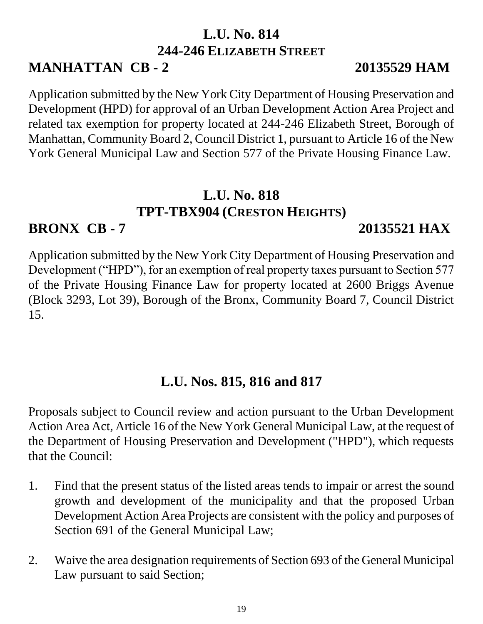# **L.U. No. 814 244-246 ELIZABETH STREET**

# **MANHATTAN CB - 2 20135529 HAM**

#### Application submitted by the New York City Department of Housing Preservation and Development (HPD) for approval of an Urban Development Action Area Project and related tax exemption for property located at 244-246 Elizabeth Street, Borough of Manhattan, Community Board 2, Council District 1, pursuant to Article 16 of the New York General Municipal Law and Section 577 of the Private Housing Finance Law.

# **L.U. No. 818 TPT-TBX904 (CRESTON HEIGHTS)**

**BRONX CB - 7 20135521 HAX**

Application submitted by the New York City Department of Housing Preservation and Development ("HPD"), for an exemption of real property taxes pursuant to Section 577 of the Private Housing Finance Law for property located at 2600 Briggs Avenue (Block 3293, Lot 39), Borough of the Bronx, Community Board 7, Council District 15.

# **L.U. Nos. 815, 816 and 817**

Proposals subject to Council review and action pursuant to the Urban Development Action Area Act, Article 16 of the New York General Municipal Law, at the request of the Department of Housing Preservation and Development ("HPD"), which requests that the Council:

- 1. Find that the present status of the listed areas tends to impair or arrest the sound growth and development of the municipality and that the proposed Urban Development Action Area Projects are consistent with the policy and purposes of Section 691 of the General Municipal Law;
- 2. Waive the area designation requirements of Section 693 of the General Municipal Law pursuant to said Section;